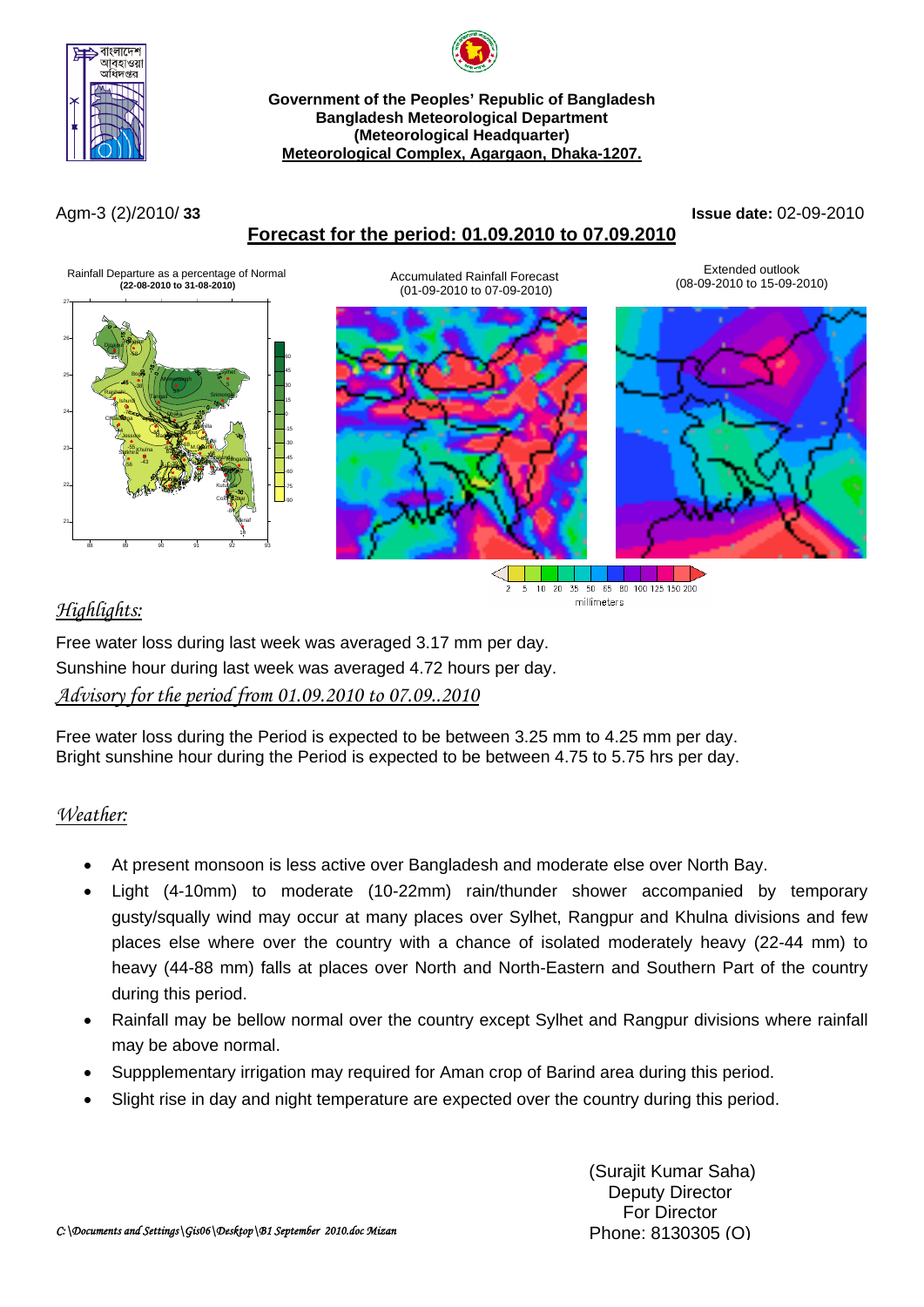



#### **Government of the Peoples' Republic of Bangladesh Bangladesh Meteorological Department (Meteorological Headquarter) Meteorological Complex, Agargaon, Dhaka-1207.**

# **Forecast for the period: 01.09.2010 to 07.09.2010**

### Agm-3 (2)/2010/ **33 Issue date:** 02-09-2010



# *Highlights:*

10 20 35 50 65 80 100 125 150 200  $\overline{5}$ millimeters

Free water loss during last week was averaged 3.17 mm per day. Sunshine hour during last week was averaged 4.72 hours per day. *Advisory for the period from 01.09.2010 to 07.09..2010*

Free water loss during the Period is expected to be between 3.25 mm to 4.25 mm per day. Bright sunshine hour during the Period is expected to be between 4.75 to 5.75 hrs per day.

# *Weather:*

- At present monsoon is less active over Bangladesh and moderate else over North Bay.
- Light (4-10mm) to moderate (10-22mm) rain/thunder shower accompanied by temporary gusty/squally wind may occur at many places over Sylhet, Rangpur and Khulna divisions and few places else where over the country with a chance of isolated moderately heavy (22-44 mm) to heavy (44-88 mm) falls at places over North and North-Eastern and Southern Part of the country during this period.
- Rainfall may be bellow normal over the country except Sylhet and Rangpur divisions where rainfall may be above normal.
- Suppplementary irrigation may required for Aman crop of Barind area during this period.
- Slight rise in day and night temperature are expected over the country during this period.

(Surajit Kumar Saha) Deputy Director For Director Phone: 8130305 (O)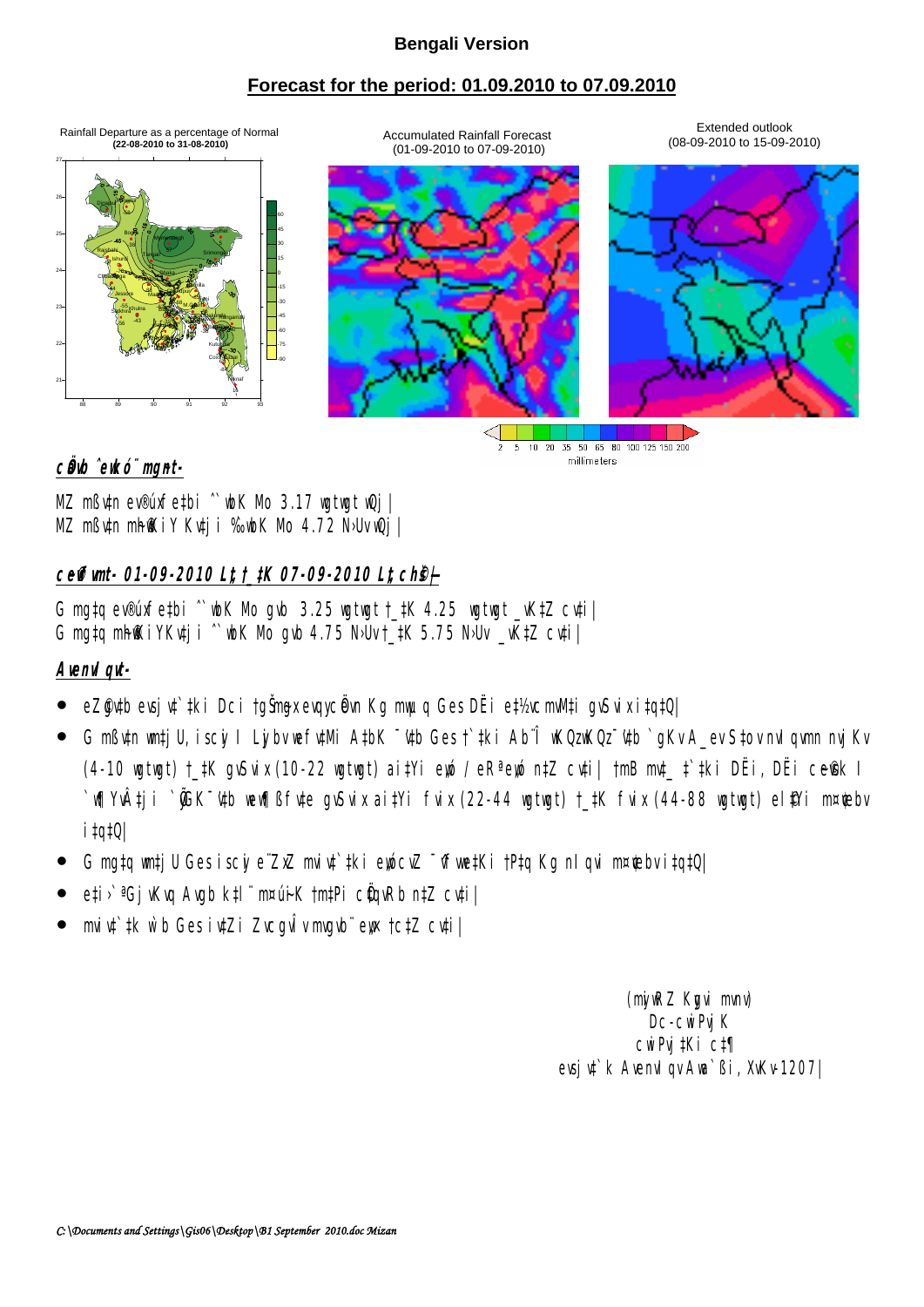## **Bengali Version**

## **Forecast for the period: 01.09.2010 to 07.09.2010**

Accumulated Rainfall Forecast (01-09-2010 to 07-09-2010)

Rainfall Departure as a percentage of Normal  **(22-08-2010 to 31-08-2010)**



Extended outlook (08-09-2010 to 15-09-2010)



5 10 20 35 50 65 80 100 125 150 200  $\overline{2}$ millimeters

## c**Ö**b ̂ekó¨ mgnt-

MZ mßv‡n ev®úxfe‡bi ˆ`wbK Mo 3.17 wgtwgt wQj| MZ mßutn mh@KiY Kutji %bK Mb 4.72 N·Uv wQj

# **c~e©vfvmt- 01-09-2010 L"t †\_‡K 07-09-2010 L"t ch©š—|**

G mg‡q ev®úxfe‡bi  $\degree$  wh K Nb gwb 3.25 wgtwgt  $\pm$ ‡K 4.25 wgtwgt  $\pm$ W<sub>t</sub>Z cv‡i G mg‡q mhiXiYKv‡ji  $\degree$  wk No gvb 4.75 NbUv †\_‡K 5.75 NbUv \_vK‡Z cv‡i

# **AvenvIqvt-**

- eZ@ytb evsjyt`#ki Dci †gŠmyxevqycÖvn Kg myuq Ges DËi e‡½ cmWti gvSvix i‡q‡Q|
- G mߢn **wtjU, iscy I Lybv wf¢Mi A‡bK <sup>–</sup>'¢b Ges† ‡**ki Ab¨Î wKQzwKQz "¢tb `qKvA\_ev S‡ov nvI qvm nvjKv (4-10 wgtwgt) †\_‡K gvSvix (10-22 wgtwgt) ai‡Yi ewó / eRª ewó n‡Z cv‡i| †mB md\_ ‡`‡ki DËi, DËi ce@k I `w∏Yv‡ji `@K¯'v‡b wew∏ßfv‡e gvSvix ai‡Yi fvix (22-44 wgtwgt) †\_‡K fvix (44-88 wgtwgt) el\$Yi m¤¢ebv i‡q‡Q|
- G mata wrtj U Ges iscy e ZxZ miyt tki ewócyZ <sup>-</sup> vfwetKi †Pta Kg nIqvi m¤¢bv itatQ|
- e‡i›` <sup>a</sup>GjvKvq Avgb k‡l¨ m¤úiK †m**tPi cÖqvRb n‡Z cv‡i**|
- miv‡`#k w`b Ges iv‡Zi ZvcgvÎv mgb¨ ew †c‡Z cv‡i|

(miwRZ Kuvi mm) Dc-cwiPvj K cwiPvj‡Ki c‡¶ evsju<sup>t</sup> k AvenuI gv Ava`ßi, XvKv-1207|